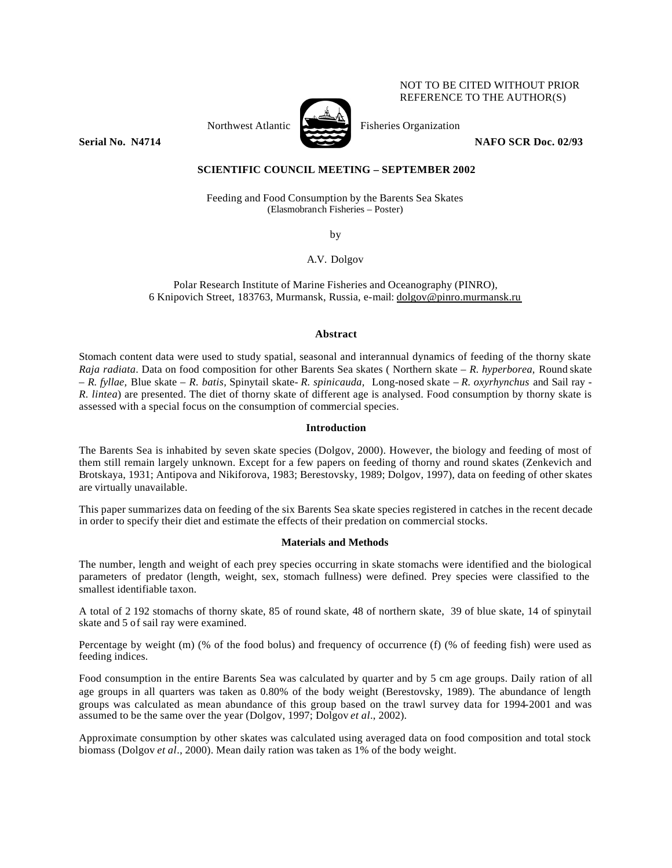# NOT TO BE CITED WITHOUT PRIOR REFERENCE TO THE AUTHOR(S)



Northwest Atlantic Fisheries Organization

**Serial No. 14714 NAFO SCR Doc. 02/93** 

# **SCIENTIFIC COUNCIL MEETING – SEPTEMBER 2002**

Feeding and Food Consumption by the Barents Sea Skates (Elasmobranch Fisheries – Poster)

by

A.V. Dolgov

Polar Research Institute of Marine Fisheries and Oceanography (PINRO), 6 Knipovich Street, 183763, Murmansk, Russia, e-mail: dolgov@pinro.murmansk.ru

#### **Abstract**

Stomach content data were used to study spatial, seasonal and interannual dynamics of feeding of the thorny skate *Raja radiata*. Data on food composition for other Barents Sea skates ( Northern skate – *R. hyperborea,* Round skate – *R. fyllae,* Blue skate *– R. batis,* Spinytail skate*- R. spinicauda,* Long-nosed skate – *R. oxyrhynchus* and Sail ray - *R. lintea*) are presented. The diet of thorny skate of different age is analysed. Food consumption by thorny skate is assessed with a special focus on the consumption of commercial species.

## **Introduction**

The Barents Sea is inhabited by seven skate species (Dolgov, 2000). However, the biology and feeding of most of them still remain largely unknown. Except for a few papers on feeding of thorny and round skates (Zenkevich and Brotskaya, 1931; Antipova and Nikiforova, 1983; Berestovsky, 1989; Dolgov, 1997), data on feeding of other skates are virtually unavailable.

This paper summarizes data on feeding of the six Barents Sea skate species registered in catches in the recent decade in order to specify their diet and estimate the effects of their predation on commercial stocks.

#### **Materials and Methods**

The number, length and weight of each prey species occurring in skate stomachs were identified and the biological parameters of predator (length, weight, sex, stomach fullness) were defined. Prey species were classified to the smallest identifiable taxon.

A total of 2 192 stomachs of thorny skate, 85 of round skate, 48 of northern skate, 39 of blue skate, 14 of spinytail skate and 5 of sail ray were examined.

Percentage by weight (m) (% of the food bolus) and frequency of occurrence (f) (% of feeding fish) were used as feeding indices.

Food consumption in the entire Barents Sea was calculated by quarter and by 5 cm age groups. Daily ration of all age groups in all quarters was taken as 0.80% of the body weight (Berestovsky, 1989). The abundance of length groups was calculated as mean abundance of this group based on the trawl survey data for 1994-2001 and was assumed to be the same over the year (Dolgov, 1997; Dolgov *et al*., 2002).

Approximate consumption by other skates was calculated using averaged data on food composition and total stock biomass (Dolgov *et al*., 2000). Mean daily ration was taken as 1% of the body weight.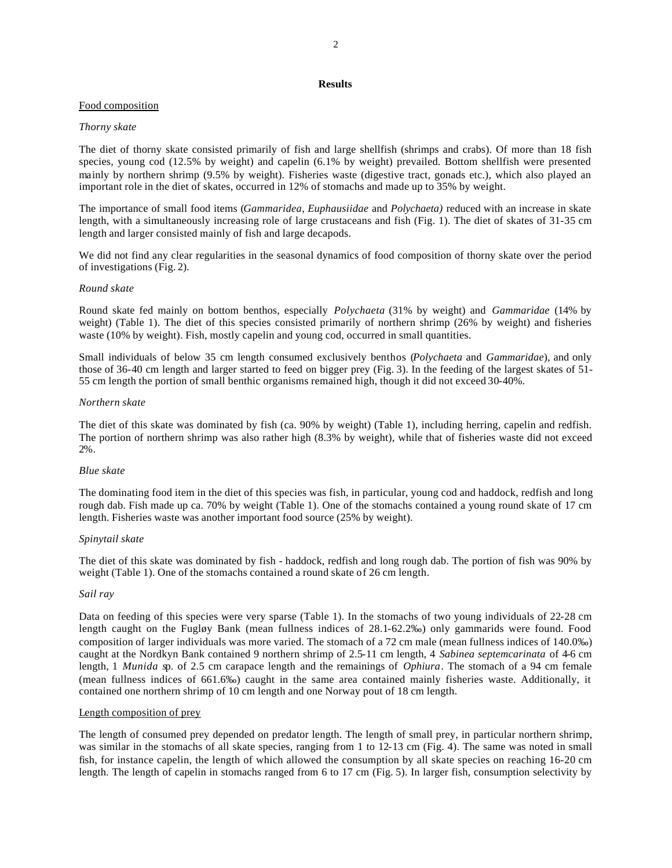## **Results**

## Food composition

### *Thorny skate*

The diet of thorny skate consisted primarily of fish and large shellfish (shrimps and crabs). Of more than 18 fish species, young cod (12.5% by weight) and capelin (6.1% by weight) prevailed. Bottom shellfish were presented mainly by northern shrimp (9.5% by weight). Fisheries waste (digestive tract, gonads etc.), which also played an important role in the diet of skates, occurred in 12% of stomachs and made up to 35% by weight.

The importance of small food items (*Gammaridea*, *Euphausiidae* and *Polychaeta)* reduced with an increase in skate length, with a simultaneously increasing role of large crustaceans and fish (Fig. 1). The diet of skates of 31-35 cm length and larger consisted mainly of fish and large decapods.

We did not find any clear regularities in the seasonal dynamics of food composition of thorny skate over the period of investigations (Fig. 2).

#### *Round skate*

Round skate fed mainly on bottom benthos, especially *Polychaeta* (31% by weight) and *Gammaridae* (14% by weight) (Table 1). The diet of this species consisted primarily of northern shrimp (26% by weight) and fisheries waste (10% by weight). Fish, mostly capelin and young cod, occurred in small quantities.

Small individuals of below 35 cm length consumed exclusively benthos (*Polychaeta* and *Gammaridae*), and only those of 36-40 cm length and larger started to feed on bigger prey (Fig. 3). In the feeding of the largest skates of 51- 55 cm length the portion of small benthic organisms remained high, though it did not exceed 30-40%.

### *Northern skate*

The diet of this skate was dominated by fish (ca. 90% by weight) (Table 1), including herring, capelin and redfish. The portion of northern shrimp was also rather high (8.3% by weight), while that of fisheries waste did not exceed 2%.

#### *Blue skate*

The dominating food item in the diet of this species was fish, in particular, young cod and haddock, redfish and long rough dab. Fish made up ca. 70% by weight (Table 1). One of the stomachs contained a young round skate of 17 cm length. Fisheries waste was another important food source (25% by weight).

#### *Spinytail skate*

The diet of this skate was dominated by fish - haddock, redfish and long rough dab. The portion of fish was 90% by weight (Table 1). One of the stomachs contained a round skate of 26 cm length.

## *Sail ray*

Data on feeding of this species were very sparse (Table 1). In the stomachs of two young individuals of 22-28 cm length caught on the Fugløy Bank (mean fullness indices of 28.1-62.2‰) only gammarids were found. Food composition of larger individuals was more varied. The stomach of a 72 cm male (mean fullness indices of 140.0‰) caught at the Nordkyn Bank contained 9 northern shrimp of 2.5-11 cm length, 4 *Sabinea septemcarinata* of 4-6 cm length, 1 *Munida s*p. of 2.5 cm carapace length and the remainings of *Ophiura*. The stomach of a 94 cm female (mean fullness indices of 661.6‰) caught in the same area contained mainly fisheries waste. Additionally, it contained one northern shrimp of 10 cm length and one Norway pout of 18 cm length.

#### Length composition of prey

The length of consumed prey depended on predator length. The length of small prey, in particular northern shrimp, was similar in the stomachs of all skate species, ranging from 1 to 12-13 cm (Fig. 4). The same was noted in small fish, for instance capelin, the length of which allowed the consumption by all skate species on reaching 16-20 cm length. The length of capelin in stomachs ranged from 6 to 17 cm (Fig. 5). In larger fish, consumption selectivity by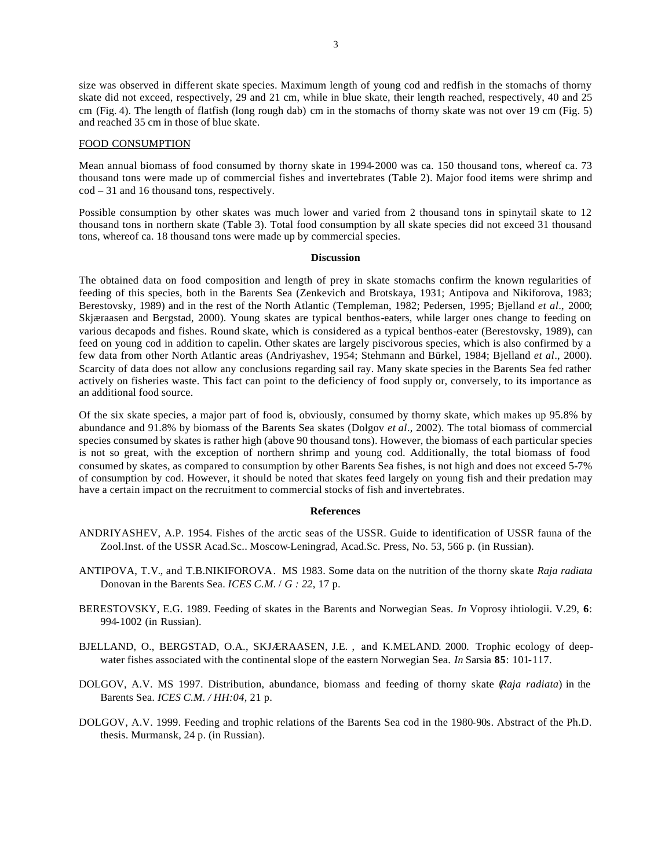size was observed in different skate species. Maximum length of young cod and redfish in the stomachs of thorny skate did not exceed, respectively, 29 and 21 cm, while in blue skate, their length reached, respectively, 40 and 25 cm (Fig. 4). The length of flatfish (long rough dab) cm in the stomachs of thorny skate was not over 19 cm (Fig. 5) and reached 35 cm in those of blue skate.

#### FOOD CONSUMPTION

Mean annual biomass of food consumed by thorny skate in 1994-2000 was ca. 150 thousand tons, whereof ca. 73 thousand tons were made up of commercial fishes and invertebrates (Table 2). Major food items were shrimp and cod – 31 and 16 thousand tons, respectively.

Possible consumption by other skates was much lower and varied from 2 thousand tons in spinytail skate to 12 thousand tons in northern skate (Table 3). Total food consumption by all skate species did not exceed 31 thousand tons, whereof ca. 18 thousand tons were made up by commercial species.

#### **Discussion**

The obtained data on food composition and length of prey in skate stomachs confirm the known regularities of feeding of this species, both in the Barents Sea (Zenkevich and Brotskaya, 1931; Antipova and Nikiforova, 1983; Berestovsky, 1989) and in the rest of the North Atlantic (Templeman, 1982; Pedersen, 1995; Bjelland *et al*., 2000; Skjæraasen and Bergstad, 2000). Young skates are typical benthos-eaters, while larger ones change to feeding on various decapods and fishes. Round skate, which is considered as a typical benthos-eater (Berestovsky, 1989), can feed on young cod in addition to capelin. Other skates are largely piscivorous species, which is also confirmed by a few data from other North Atlantic areas (Andriyashev, 1954; Stehmann and Bürkel, 1984; Bjelland *et al*., 2000). Scarcity of data does not allow any conclusions regarding sail ray. Many skate species in the Barents Sea fed rather actively on fisheries waste. This fact can point to the deficiency of food supply or, conversely, to its importance as an additional food source.

Of the six skate species, a major part of food is, obviously, consumed by thorny skate, which makes up 95.8% by abundance and 91.8% by biomass of the Barents Sea skates (Dolgov *et al*., 2002). The total biomass of commercial species consumed by skates is rather high (above 90 thousand tons). However, the biomass of each particular species is not so great, with the exception of northern shrimp and young cod. Additionally, the total biomass of food consumed by skates, as compared to consumption by other Barents Sea fishes, is not high and does not exceed 5-7% of consumption by cod. However, it should be noted that skates feed largely on young fish and their predation may have a certain impact on the recruitment to commercial stocks of fish and invertebrates.

#### **References**

- ANDRIYASHEV, A.P. 1954. Fishes of the arctic seas of the USSR. Guide to identification of USSR fauna of the Zool.Inst. of the USSR Acad.Sc.. Moscow-Leningrad, Acad.Sc. Press, No. 53, 566 p. (in Russian).
- ANTIPOVA, T.V., and T.B.NIKIFOROVA. MS 1983. Some data on the nutrition of the thorny skate *Raja radiata* Donovan in the Barents Sea. *ICES C.M.* / *G : 22*, 17 p.
- BERESTOVSKY, E.G. 1989. Feeding of skates in the Barents and Norwegian Seas. *In* Voprosy ihtiologii. V.29, **6**: 994-1002 (in Russian).
- BJELLAND, O., BERGSTAD, O.A., SKJÆRAASEN, J.E. , and K.MELAND. 2000. Trophic ecology of deepwater fishes associated with the continental slope of the eastern Norwegian Sea. *In* Sarsia **85**: 101-117.
- DOLGOV, A.V. MS 1997. Distribution, abundance, biomass and feeding of thorny skate (*Raja radiata*) in the Barents Sea*. ICES C.M. / HH:04*, 21 p.
- DOLGOV, A.V. 1999. Feeding and trophic relations of the Barents Sea cod in the 1980-90s*.* Abstract of the Ph.D. thesis. Murmansk, 24 p. (in Russian).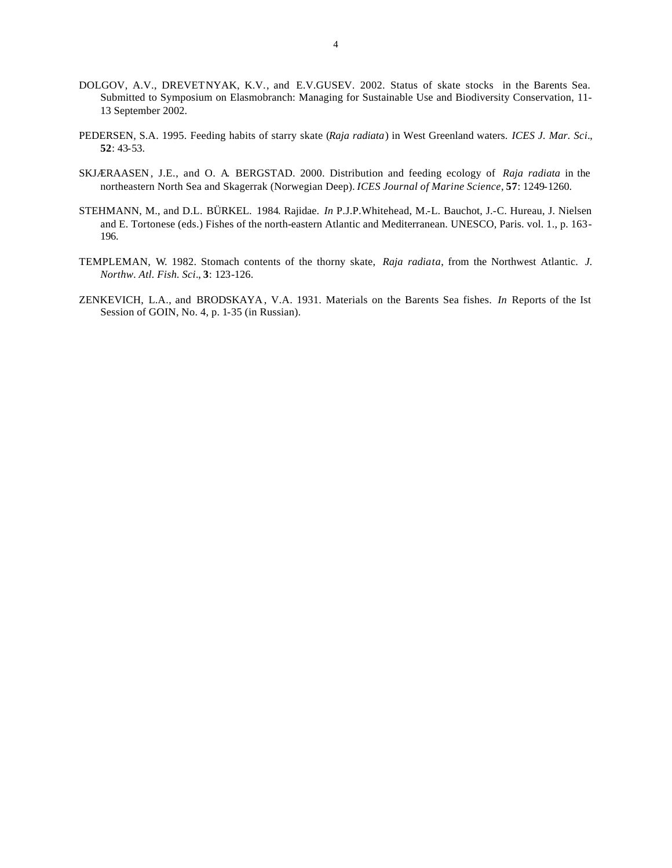- DOLGOV, A.V., DREVETNYAK, K.V., and E.V.GUSEV. 2002. Status of skate stocks in the Barents Sea. Submitted to Symposium on Elasmobranch: Managing for Sustainable Use and Biodiversity Conservation, 11- 13 September 2002.
- PEDERSEN, S.A. 1995. Feeding habits of starry skate (*Raja radiata*) in West Greenland waters. *ICES J. Mar. Sci.*, **52**: 43-53.
- SKJÆRAASEN , J.E., and O. A. BERGSTAD. 2000. Distribution and feeding ecology of *Raja radiata* in the northeastern North Sea and Skagerrak (Norwegian Deep). *ICES Journal of Marine Science*, **57**: 1249-1260.
- STEHMANN, M., and D.L. BÜRKEL. 1984. Rajidae. *In* P.J.P.Whitehead, M.-L. Bauchot, J.-C. Hureau, J. Nielsen and E. Tortonese (eds.) Fishes of the north-eastern Atlantic and Mediterranean. UNESCO, Paris. vol. 1., p. 163- 196.
- TEMPLEMAN, W. 1982. Stomach contents of the thorny skate, *Raja radiata*, from the Northwest Atlantic. *J. Northw. Atl. Fish. Sci*., **3**: 123-126.
- ZENKEVICH, L.A., and BRODSKAYA , V.A. 1931. Materials on the Barents Sea fishes. *In* Reports of the Ist Session of GOIN, No. 4, p. 1-35 (in Russian).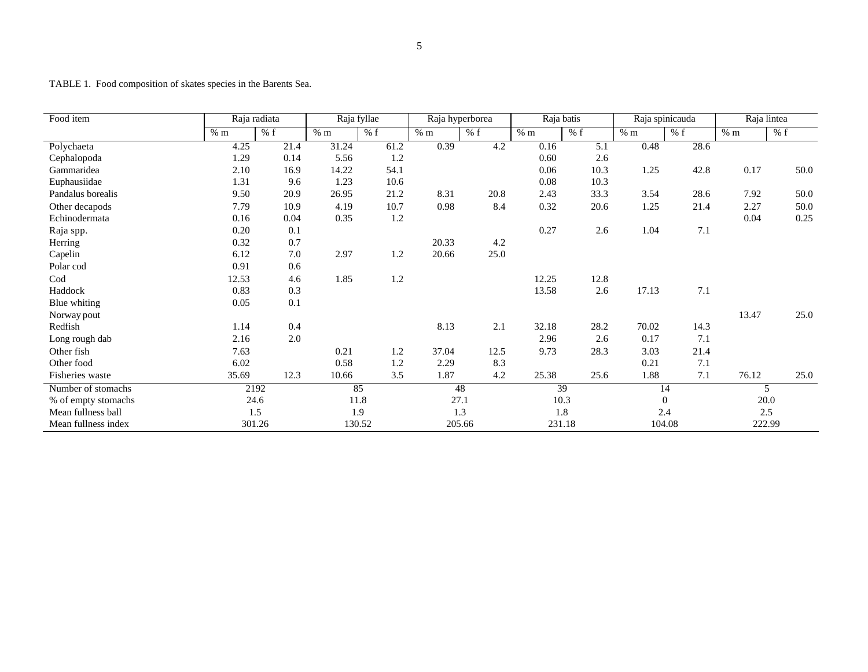TABLE 1. Food composition of skates species in the Barents Sea.

| Food item           | Raja radiata |         | Raja fyllae |        | Raja hyperborea |        | Raja batis |        | Raja spinicauda |        | Raja lintea |      |
|---------------------|--------------|---------|-------------|--------|-----------------|--------|------------|--------|-----------------|--------|-------------|------|
|                     | % m          | % f     | % m         | % f    | % m             | % f    | % m        | % f    | % m             | % f    | % m         | % f  |
| Polychaeta          | 4.25         | 21.4    | 31.24       | 61.2   | 0.39            | 4.2    | 0.16       | 5.1    | 0.48            | 28.6   |             |      |
| Cephalopoda         | 1.29         | 0.14    | 5.56        | 1.2    |                 |        | 0.60       | 2.6    |                 |        |             |      |
| Gammaridea          | 2.10         | 16.9    | 14.22       | 54.1   |                 |        | 0.06       | 10.3   | 1.25            | 42.8   | 0.17        | 50.0 |
| Euphausiidae        | 1.31         | 9.6     | 1.23        | 10.6   |                 |        | 0.08       | 10.3   |                 |        |             |      |
| Pandalus borealis   | 9.50         | 20.9    | 26.95       | 21.2   | 8.31            | 20.8   | 2.43       | 33.3   | 3.54            | 28.6   | 7.92        | 50.0 |
| Other decapods      | 7.79         | 10.9    | 4.19        | 10.7   | 0.98            | 8.4    | 0.32       | 20.6   | 1.25            | 21.4   | 2.27        | 50.0 |
| Echinodermata       | 0.16         | 0.04    | 0.35        | 1.2    |                 |        |            |        |                 |        | 0.04        | 0.25 |
| Raja spp.           | 0.20         | 0.1     |             |        |                 |        | 0.27       | 2.6    | 1.04            | 7.1    |             |      |
| Herring             | 0.32         | 0.7     |             |        | 20.33           | 4.2    |            |        |                 |        |             |      |
| Capelin             | 6.12         | 7.0     | 2.97        | 1.2    | 20.66           | 25.0   |            |        |                 |        |             |      |
| Polar cod           | 0.91         | 0.6     |             |        |                 |        |            |        |                 |        |             |      |
| Cod                 | 12.53        | 4.6     | 1.85        | 1.2    |                 |        | 12.25      | 12.8   |                 |        |             |      |
| Haddock             | 0.83         | 0.3     |             |        |                 |        | 13.58      | 2.6    | 17.13           | 7.1    |             |      |
| Blue whiting        | 0.05         | 0.1     |             |        |                 |        |            |        |                 |        |             |      |
| Norway pout         |              |         |             |        |                 |        |            |        |                 |        | 13.47       | 25.0 |
| Redfish             | 1.14         | 0.4     |             |        | 8.13            | 2.1    | 32.18      | 28.2   | 70.02           | 14.3   |             |      |
| Long rough dab      | 2.16         | $2.0\,$ |             |        |                 |        | 2.96       | 2.6    | 0.17            | 7.1    |             |      |
| Other fish          | 7.63         |         | 0.21        | 1.2    | 37.04           | 12.5   | 9.73       | 28.3   | 3.03            | 21.4   |             |      |
| Other food          | 6.02         |         | 0.58        | 1.2    | 2.29            | 8.3    |            |        | 0.21            | 7.1    |             |      |
| Fisheries waste     | 35.69        | 12.3    | 10.66       | 3.5    | 1.87            | 4.2    | 25.38      | 25.6   | 1.88            | 7.1    | 76.12       | 25.0 |
| Number of stomachs  | 2192         |         | 85          |        | 48              |        | 39         |        | 14              |        | 5           |      |
| % of empty stomachs | 24.6         |         | 11.8        |        | 27.1            |        | 10.3       |        | $\mathbf{0}$    |        | 20.0        |      |
| Mean fullness ball  | 1.5          |         | 1.9         |        | 1.3             |        | 1.8        |        | 2.4             |        | 2.5         |      |
| Mean fullness index |              | 301.26  |             | 130.52 |                 | 205.66 |            | 231.18 |                 | 104.08 | 222.99      |      |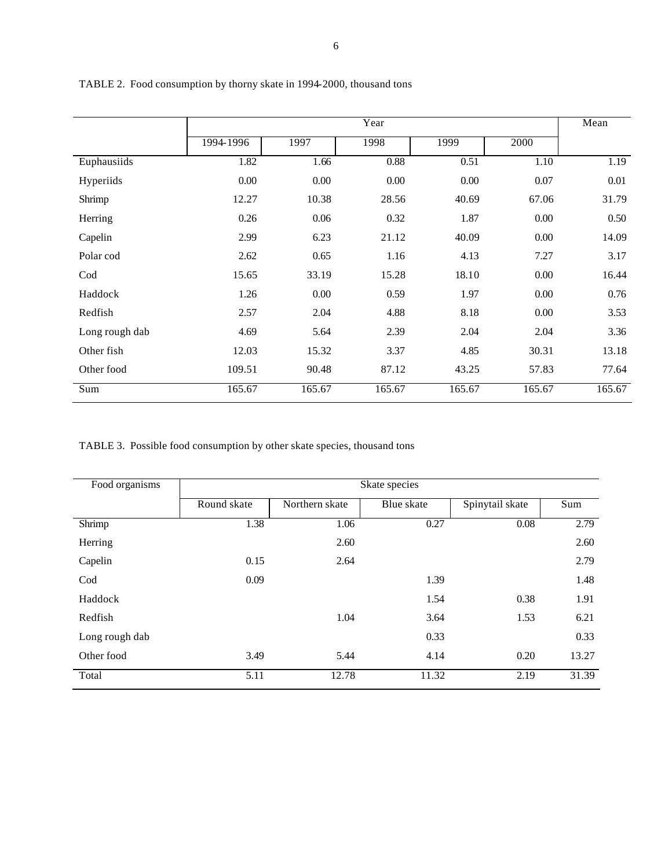|                |           | Mean   |        |        |          |        |
|----------------|-----------|--------|--------|--------|----------|--------|
|                | 1994-1996 | 1997   | 1998   | 1999   | 2000     |        |
| Euphausiids    | 1.82      | 1.66   | 0.88   | 0.51   | 1.10     | 1.19   |
| Hyperiids      | 0.00      | 0.00   | 0.00   | 0.00   | 0.07     | 0.01   |
| Shrimp         | 12.27     | 10.38  | 28.56  | 40.69  | 67.06    | 31.79  |
| Herring        | 0.26      | 0.06   | 0.32   | 1.87   | 0.00     | 0.50   |
| Capelin        | 2.99      | 6.23   | 21.12  | 40.09  | 0.00     | 14.09  |
| Polar cod      | 2.62      | 0.65   | 1.16   | 4.13   | 7.27     | 3.17   |
| Cod            | 15.65     | 33.19  | 15.28  | 18.10  | $0.00\,$ | 16.44  |
| Haddock        | 1.26      | 0.00   | 0.59   | 1.97   | 0.00     | 0.76   |
| Redfish        | 2.57      | 2.04   | 4.88   | 8.18   | $0.00\,$ | 3.53   |
| Long rough dab | 4.69      | 5.64   | 2.39   | 2.04   | 2.04     | 3.36   |
| Other fish     | 12.03     | 15.32  | 3.37   | 4.85   | 30.31    | 13.18  |
| Other food     | 109.51    | 90.48  | 87.12  | 43.25  | 57.83    | 77.64  |
| Sum            | 165.67    | 165.67 | 165.67 | 165.67 | 165.67   | 165.67 |

TABLE 2. Food consumption by thorny skate in 1994-2000, thousand tons

TABLE 3. Possible food consumption by other skate species, thousand tons

| Food organisms | Skate species |                |            |                 |       |  |  |  |  |
|----------------|---------------|----------------|------------|-----------------|-------|--|--|--|--|
|                | Round skate   | Northern skate | Blue skate | Spinytail skate | Sum   |  |  |  |  |
| Shrimp         | 1.38          | 1.06           | 0.27       | 0.08            | 2.79  |  |  |  |  |
| Herring        |               | 2.60           |            |                 | 2.60  |  |  |  |  |
| Capelin        | 0.15          | 2.64           |            |                 | 2.79  |  |  |  |  |
| Cod            | 0.09          |                | 1.39       |                 | 1.48  |  |  |  |  |
| Haddock        |               |                | 1.54       | 0.38            | 1.91  |  |  |  |  |
| Redfish        |               | 1.04           | 3.64       | 1.53            | 6.21  |  |  |  |  |
| Long rough dab |               |                | 0.33       |                 | 0.33  |  |  |  |  |
| Other food     | 3.49          | 5.44           | 4.14       | 0.20            | 13.27 |  |  |  |  |
| Total          | 5.11          | 12.78          | 11.32      | 2.19            | 31.39 |  |  |  |  |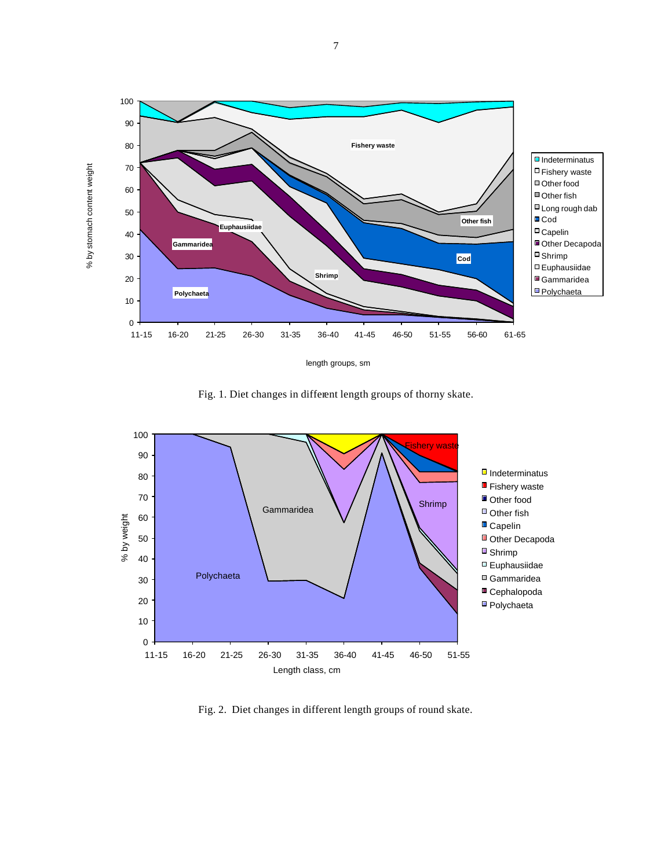

Fig. 1. Diet changes in different length groups of thorny skate.



Fig. 2. Diet changes in different length groups of round skate.

7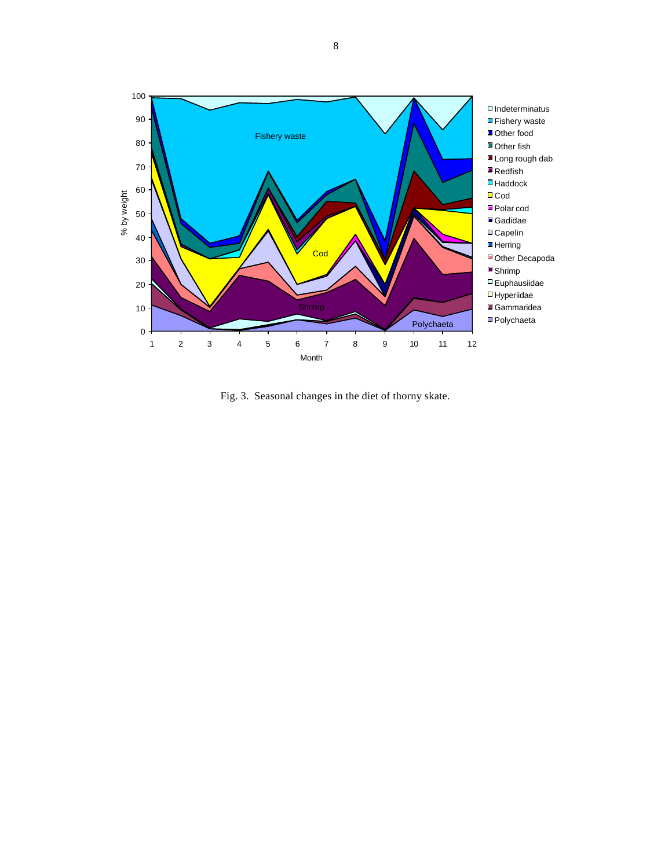

Fig. 3. Seasonal changes in the diet of thorny skate.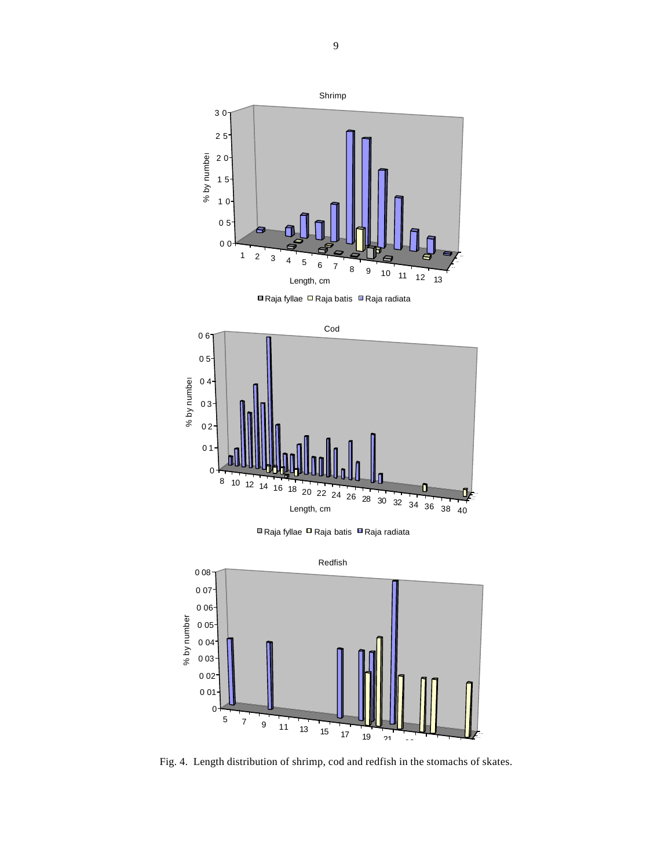

**■ Raja fyllae □ Raja batis ■ Raja radiata** 



**■ Raja fyllae □ Raja batis ■ Raja radiata** 



Fig. 4. Length distribution of shrimp, cod and redfish in the stomachs of skates.